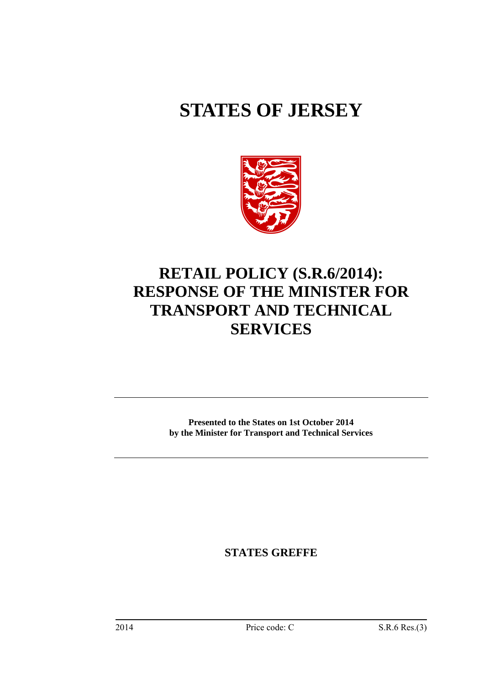# **STATES OF JERSEY**



## **RETAIL POLICY (S.R.6/2014): RESPONSE OF THE MINISTER FOR TRANSPORT AND TECHNICAL SERVICES**

**Presented to the States on 1st October 2014 by the Minister for Transport and Technical Services** 

**STATES GREFFE**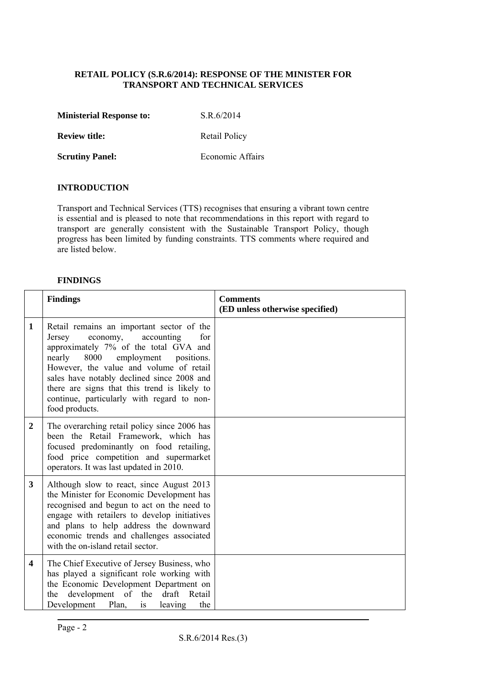#### **RETAIL POLICY (S.R.6/2014): RESPONSE OF THE MINISTER FOR TRANSPORT AND TECHNICAL SERVICES**

| <b>Ministerial Response to:</b> | S.R.6/2014 |
|---------------------------------|------------|
|---------------------------------|------------|

**Review title:** Retail Policy

**Scrutiny Panel: Economic Affairs** 

#### **INTRODUCTION**

Transport and Technical Services (TTS) recognises that ensuring a vibrant town centre is essential and is pleased to note that recommendations in this report with regard to transport are generally consistent with the Sustainable Transport Policy, though progress has been limited by funding constraints. TTS comments where required and are listed below.

#### **FINDINGS**

|                         | <b>Findings</b>                                                                                                                                                                                                                                                                                                                                                                      | <b>Comments</b><br>(ED unless otherwise specified) |
|-------------------------|--------------------------------------------------------------------------------------------------------------------------------------------------------------------------------------------------------------------------------------------------------------------------------------------------------------------------------------------------------------------------------------|----------------------------------------------------|
| 1                       | Retail remains an important sector of the<br>Jersey<br>accounting<br>economy,<br>for<br>approximately 7% of the total GVA and<br>nearly<br>employment<br>8000<br>positions.<br>However, the value and volume of retail<br>sales have notably declined since 2008 and<br>there are signs that this trend is likely to<br>continue, particularly with regard to non-<br>food products. |                                                    |
| 2                       | The overarching retail policy since 2006 has<br>been the Retail Framework, which has<br>focused predominantly on food retailing,<br>food price competition and supermarket<br>operators. It was last updated in 2010.                                                                                                                                                                |                                                    |
| 3                       | Although slow to react, since August 2013<br>the Minister for Economic Development has<br>recognised and begun to act on the need to<br>engage with retailers to develop initiatives<br>and plans to help address the downward<br>economic trends and challenges associated<br>with the on-island retail sector.                                                                     |                                                    |
| $\overline{\mathbf{4}}$ | The Chief Executive of Jersey Business, who<br>has played a significant role working with<br>the Economic Development Department on<br>development of the draft<br>Retail<br>the<br>Development Plan,<br>the<br>leaving<br>is                                                                                                                                                        |                                                    |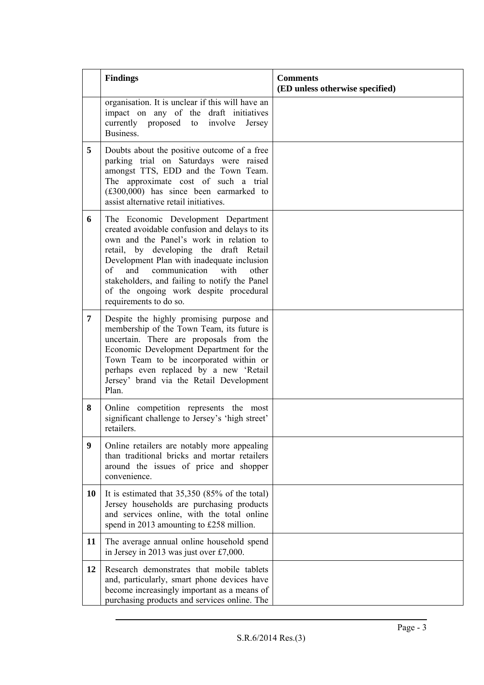|    | <b>Findings</b>                                                                                                                                                                                                                                                                                                                                                                             | <b>Comments</b><br>(ED unless otherwise specified) |
|----|---------------------------------------------------------------------------------------------------------------------------------------------------------------------------------------------------------------------------------------------------------------------------------------------------------------------------------------------------------------------------------------------|----------------------------------------------------|
|    | organisation. It is unclear if this will have an<br>impact on any of the draft initiatives<br>currently proposed<br>involve<br>to<br>Jersey<br>Business.                                                                                                                                                                                                                                    |                                                    |
| 5  | Doubts about the positive outcome of a free<br>parking trial on Saturdays were raised<br>amongst TTS, EDD and the Town Team.<br>The approximate cost of such a trial<br>$(\text{\pounds}300,000)$ has since been earmarked to<br>assist alternative retail initiatives.                                                                                                                     |                                                    |
| 6  | The Economic Development Department<br>created avoidable confusion and delays to its<br>own and the Panel's work in relation to<br>retail, by developing the draft Retail<br>Development Plan with inadequate inclusion<br>of<br>communication<br>with<br>and<br>other<br>stakeholders, and failing to notify the Panel<br>of the ongoing work despite procedural<br>requirements to do so. |                                                    |
| 7  | Despite the highly promising purpose and<br>membership of the Town Team, its future is<br>uncertain. There are proposals from the<br>Economic Development Department for the<br>Town Team to be incorporated within or<br>perhaps even replaced by a new 'Retail<br>Jersey' brand via the Retail Development<br>Plan.                                                                       |                                                    |
| 8  | Online competition represents the most<br>significant challenge to Jersey's 'high street'<br>retailers.                                                                                                                                                                                                                                                                                     |                                                    |
| 9  | Online retailers are notably more appealing<br>than traditional bricks and mortar retailers<br>around the issues of price and shopper<br>convenience.                                                                                                                                                                                                                                       |                                                    |
| 10 | It is estimated that $35,350$ (85% of the total)<br>Jersey households are purchasing products<br>and services online, with the total online<br>spend in 2013 amounting to £258 million.                                                                                                                                                                                                     |                                                    |
| 11 | The average annual online household spend<br>in Jersey in 2013 was just over £7,000.                                                                                                                                                                                                                                                                                                        |                                                    |
| 12 | Research demonstrates that mobile tablets<br>and, particularly, smart phone devices have<br>become increasingly important as a means of<br>purchasing products and services online. The                                                                                                                                                                                                     |                                                    |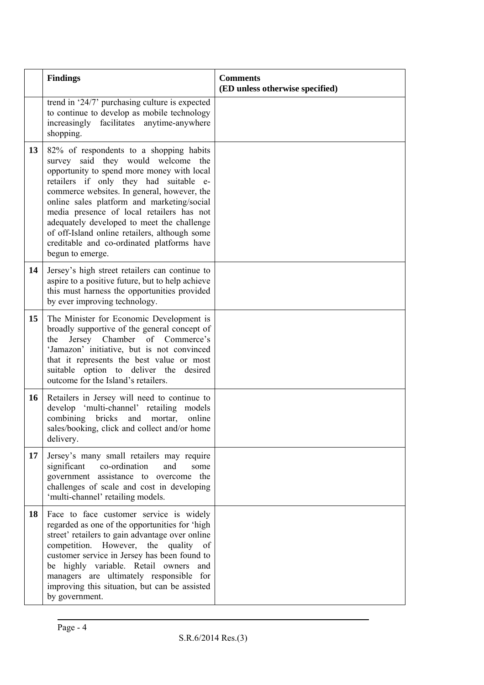|    | <b>Findings</b>                                                                                                                                                                                                                                                                                                                                                                                                                                                                  | <b>Comments</b><br>(ED unless otherwise specified) |
|----|----------------------------------------------------------------------------------------------------------------------------------------------------------------------------------------------------------------------------------------------------------------------------------------------------------------------------------------------------------------------------------------------------------------------------------------------------------------------------------|----------------------------------------------------|
|    | trend in '24/7' purchasing culture is expected<br>to continue to develop as mobile technology<br>increasingly facilitates anytime-anywhere<br>shopping.                                                                                                                                                                                                                                                                                                                          |                                                    |
| 13 | 82% of respondents to a shopping habits<br>survey said they would welcome the<br>opportunity to spend more money with local<br>retailers if only they had suitable e-<br>commerce websites. In general, however, the<br>online sales platform and marketing/social<br>media presence of local retailers has not<br>adequately developed to meet the challenge<br>of off-Island online retailers, although some<br>creditable and co-ordinated platforms have<br>begun to emerge. |                                                    |
| 14 | Jersey's high street retailers can continue to<br>aspire to a positive future, but to help achieve<br>this must harness the opportunities provided<br>by ever improving technology.                                                                                                                                                                                                                                                                                              |                                                    |
| 15 | The Minister for Economic Development is<br>broadly supportive of the general concept of<br>Jersey Chamber of Commerce's<br>the<br>'Jamazon' initiative, but is not convinced<br>that it represents the best value or most<br>suitable option to deliver the desired<br>outcome for the Island's retailers.                                                                                                                                                                      |                                                    |
| 16 | Retailers in Jersey will need to continue to<br>develop 'multi-channel' retailing models<br>combining<br>bricks<br>online<br>and<br>mortar,<br>sales/booking, click and collect and/or home<br>delivery.                                                                                                                                                                                                                                                                         |                                                    |
| 17 | Jersey's many small retailers may require<br>co-ordination<br>significant<br>and<br>some<br>government assistance to overcome the<br>challenges of scale and cost in developing<br>'multi-channel' retailing models.                                                                                                                                                                                                                                                             |                                                    |
| 18 | Face to face customer service is widely<br>regarded as one of the opportunities for 'high<br>street' retailers to gain advantage over online<br>competition. However, the quality of<br>customer service in Jersey has been found to<br>be highly variable. Retail owners and<br>managers are ultimately responsible for<br>improving this situation, but can be assisted<br>by government.                                                                                      |                                                    |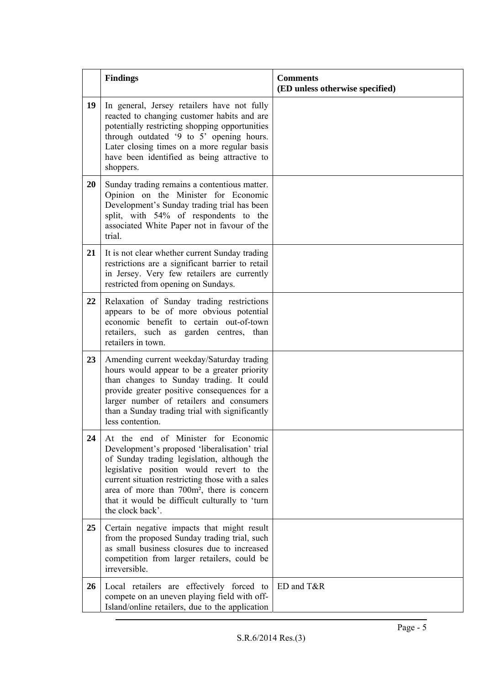|    | <b>Findings</b>                                                                                                                                                                                                                                                                                                                                                     | <b>Comments</b><br>(ED unless otherwise specified) |
|----|---------------------------------------------------------------------------------------------------------------------------------------------------------------------------------------------------------------------------------------------------------------------------------------------------------------------------------------------------------------------|----------------------------------------------------|
| 19 | In general, Jersey retailers have not fully<br>reacted to changing customer habits and are<br>potentially restricting shopping opportunities<br>through outdated '9 to 5' opening hours.<br>Later closing times on a more regular basis<br>have been identified as being attractive to<br>shoppers.                                                                 |                                                    |
| 20 | Sunday trading remains a contentious matter.<br>Opinion on the Minister for Economic<br>Development's Sunday trading trial has been<br>split, with 54% of respondents to the<br>associated White Paper not in favour of the<br>trial.                                                                                                                               |                                                    |
| 21 | It is not clear whether current Sunday trading<br>restrictions are a significant barrier to retail<br>in Jersey. Very few retailers are currently<br>restricted from opening on Sundays.                                                                                                                                                                            |                                                    |
| 22 | Relaxation of Sunday trading restrictions<br>appears to be of more obvious potential<br>economic benefit to certain out-of-town<br>retailers, such as garden centres, than<br>retailers in town.                                                                                                                                                                    |                                                    |
| 23 | Amending current weekday/Saturday trading<br>hours would appear to be a greater priority<br>than changes to Sunday trading. It could<br>provide greater positive consequences for a<br>larger number of retailers and consumers<br>than a Sunday trading trial with significantly<br>less contention.                                                               |                                                    |
| 24 | At the end of Minister for Economic<br>Development's proposed 'liberalisation' trial<br>of Sunday trading legislation, although the<br>legislative position would revert to the<br>current situation restricting those with a sales<br>area of more than 700m <sup>2</sup> , there is concern<br>that it would be difficult culturally to 'turn<br>the clock back'. |                                                    |
| 25 | Certain negative impacts that might result<br>from the proposed Sunday trading trial, such<br>as small business closures due to increased<br>competition from larger retailers, could be<br>irreversible.                                                                                                                                                           |                                                    |
| 26 | Local retailers are effectively forced to<br>compete on an uneven playing field with off-<br>Island/online retailers, due to the application                                                                                                                                                                                                                        | ED and T&R                                         |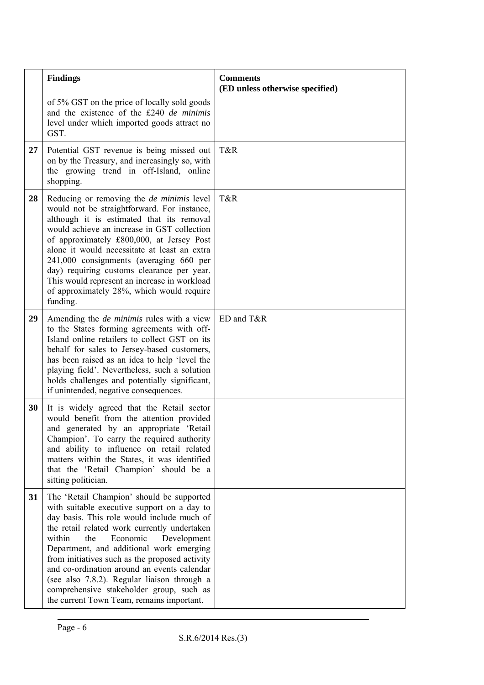|    | <b>Findings</b>                                                                                                                                                                                                                                                                                                                                                                                                                                                                                                         | <b>Comments</b><br>(ED unless otherwise specified) |
|----|-------------------------------------------------------------------------------------------------------------------------------------------------------------------------------------------------------------------------------------------------------------------------------------------------------------------------------------------------------------------------------------------------------------------------------------------------------------------------------------------------------------------------|----------------------------------------------------|
|    | of 5% GST on the price of locally sold goods<br>and the existence of the £240 de minimis<br>level under which imported goods attract no<br>GST.                                                                                                                                                                                                                                                                                                                                                                         |                                                    |
| 27 | Potential GST revenue is being missed out<br>on by the Treasury, and increasingly so, with<br>the growing trend in off-Island, online<br>shopping.                                                                                                                                                                                                                                                                                                                                                                      | T&R                                                |
| 28 | Reducing or removing the <i>de minimis</i> level<br>would not be straightforward. For instance,<br>although it is estimated that its removal<br>would achieve an increase in GST collection<br>of approximately £800,000, at Jersey Post<br>alone it would necessitate at least an extra<br>241,000 consignments (averaging 660 per<br>day) requiring customs clearance per year.<br>This would represent an increase in workload<br>of approximately 28%, which would require<br>funding.                              | T&R                                                |
| 29 | Amending the <i>de minimis</i> rules with a view<br>to the States forming agreements with off-<br>Island online retailers to collect GST on its<br>behalf for sales to Jersey-based customers,<br>has been raised as an idea to help 'level the<br>playing field'. Nevertheless, such a solution<br>holds challenges and potentially significant,<br>if unintended, negative consequences.                                                                                                                              | ED and T&R                                         |
| 30 | It is widely agreed that the Retail sector<br>would benefit from the attention provided<br>and generated by an appropriate 'Retail<br>Champion'. To carry the required authority<br>and ability to influence on retail related<br>matters within the States, it was identified<br>that the 'Retail Champion' should be a<br>sitting politician.                                                                                                                                                                         |                                                    |
| 31 | The 'Retail Champion' should be supported<br>with suitable executive support on a day to<br>day basis. This role would include much of<br>the retail related work currently undertaken<br>Economic<br>within<br>the<br>Development<br>Department, and additional work emerging<br>from initiatives such as the proposed activity<br>and co-ordination around an events calendar<br>(see also 7.8.2). Regular liaison through a<br>comprehensive stakeholder group, such as<br>the current Town Team, remains important. |                                                    |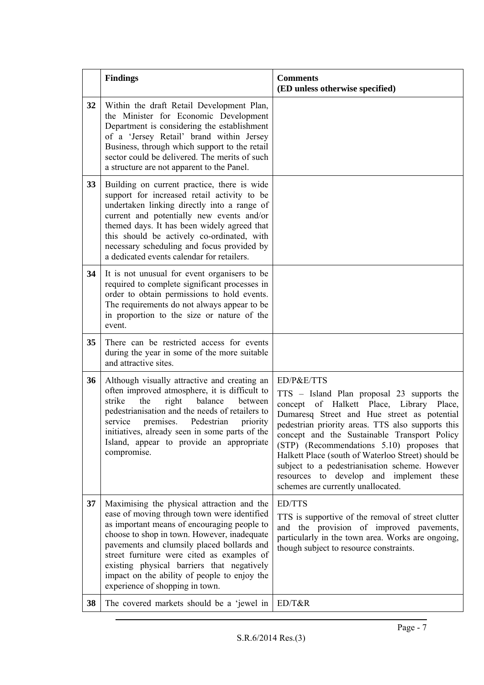|    | <b>Findings</b>                                                                                                                                                                                                                                                                                                                                                                                                      | <b>Comments</b><br>(ED unless otherwise specified)                                                                                                                                                                                                                                                                                                                                                                                                                                                  |
|----|----------------------------------------------------------------------------------------------------------------------------------------------------------------------------------------------------------------------------------------------------------------------------------------------------------------------------------------------------------------------------------------------------------------------|-----------------------------------------------------------------------------------------------------------------------------------------------------------------------------------------------------------------------------------------------------------------------------------------------------------------------------------------------------------------------------------------------------------------------------------------------------------------------------------------------------|
| 32 | Within the draft Retail Development Plan,<br>the Minister for Economic Development<br>Department is considering the establishment<br>of a 'Jersey Retail' brand within Jersey<br>Business, through which support to the retail<br>sector could be delivered. The merits of such<br>a structure are not apparent to the Panel.                                                                                        |                                                                                                                                                                                                                                                                                                                                                                                                                                                                                                     |
| 33 | Building on current practice, there is wide<br>support for increased retail activity to be<br>undertaken linking directly into a range of<br>current and potentially new events and/or<br>themed days. It has been widely agreed that<br>this should be actively co-ordinated, with<br>necessary scheduling and focus provided by<br>a dedicated events calendar for retailers.                                      |                                                                                                                                                                                                                                                                                                                                                                                                                                                                                                     |
| 34 | It is not unusual for event organisers to be<br>required to complete significant processes in<br>order to obtain permissions to hold events.<br>The requirements do not always appear to be<br>in proportion to the size or nature of the<br>event.                                                                                                                                                                  |                                                                                                                                                                                                                                                                                                                                                                                                                                                                                                     |
| 35 | There can be restricted access for events<br>during the year in some of the more suitable<br>and attractive sites.                                                                                                                                                                                                                                                                                                   |                                                                                                                                                                                                                                                                                                                                                                                                                                                                                                     |
| 36 | Although visually attractive and creating an<br>often improved atmosphere, it is difficult to<br>strike<br>balance<br>the<br>right<br>between<br>pedestrianisation and the needs of retailers to<br>service<br>premises. Pedestrian<br>priority<br>initiatives, already seen in some parts of the<br>Island, appear to provide an appropriate<br>compromise.                                                         | ED/P&E/TTS<br>TTS - Island Plan proposal 23 supports the<br>of Halkett Place, Library Place,<br>concept<br>Dumaresq Street and Hue street as potential<br>pedestrian priority areas. TTS also supports this<br>concept and the Sustainable Transport Policy<br>(STP) (Recommendations 5.10) proposes that<br>Halkett Place (south of Waterloo Street) should be<br>subject to a pedestrianisation scheme. However<br>resources to develop and implement these<br>schemes are currently unallocated. |
| 37 | Maximising the physical attraction and the<br>ease of moving through town were identified<br>as important means of encouraging people to<br>choose to shop in town. However, inadequate<br>pavements and clumsily placed bollards and<br>street furniture were cited as examples of<br>existing physical barriers that negatively<br>impact on the ability of people to enjoy the<br>experience of shopping in town. | <b>ED/TTS</b><br>TTS is supportive of the removal of street clutter<br>and the provision of improved pavements,<br>particularly in the town area. Works are ongoing,<br>though subject to resource constraints.                                                                                                                                                                                                                                                                                     |
| 38 | The covered markets should be a 'jewel in                                                                                                                                                                                                                                                                                                                                                                            | ED/T&R                                                                                                                                                                                                                                                                                                                                                                                                                                                                                              |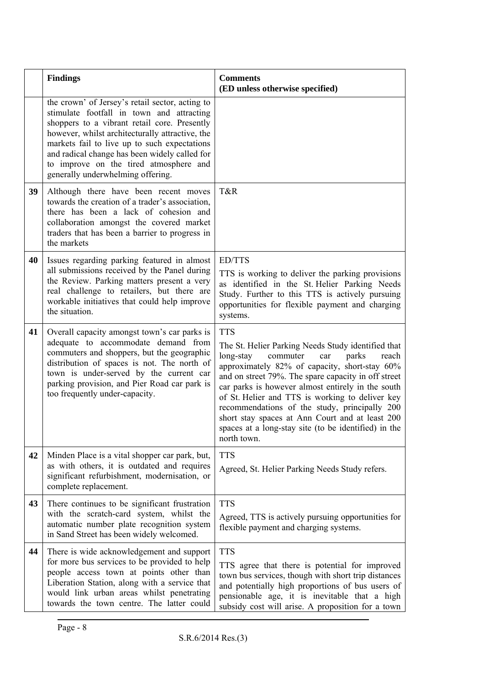|    | <b>Findings</b>                                                                                                                                                                                                                                                                                                                                                                 | <b>Comments</b><br>(ED unless otherwise specified)                                                                                                                                                                                                                                                                                                                                                                                                                                                            |  |
|----|---------------------------------------------------------------------------------------------------------------------------------------------------------------------------------------------------------------------------------------------------------------------------------------------------------------------------------------------------------------------------------|---------------------------------------------------------------------------------------------------------------------------------------------------------------------------------------------------------------------------------------------------------------------------------------------------------------------------------------------------------------------------------------------------------------------------------------------------------------------------------------------------------------|--|
|    | the crown' of Jersey's retail sector, acting to<br>stimulate footfall in town and attracting<br>shoppers to a vibrant retail core. Presently<br>however, whilst architecturally attractive, the<br>markets fail to live up to such expectations<br>and radical change has been widely called for<br>to improve on the tired atmosphere and<br>generally underwhelming offering. |                                                                                                                                                                                                                                                                                                                                                                                                                                                                                                               |  |
| 39 | Although there have been recent moves<br>towards the creation of a trader's association,<br>there has been a lack of cohesion and<br>collaboration amongst the covered market<br>traders that has been a barrier to progress in<br>the markets                                                                                                                                  | T&R                                                                                                                                                                                                                                                                                                                                                                                                                                                                                                           |  |
| 40 | Issues regarding parking featured in almost<br>all submissions received by the Panel during<br>the Review. Parking matters present a very<br>real challenge to retailers, but there are<br>workable initiatives that could help improve<br>the situation.                                                                                                                       | <b>ED/TTS</b><br>TTS is working to deliver the parking provisions<br>as identified in the St. Helier Parking Needs<br>Study. Further to this TTS is actively pursuing<br>opportunities for flexible payment and charging<br>systems.                                                                                                                                                                                                                                                                          |  |
| 41 | Overall capacity amongst town's car parks is<br>adequate to accommodate demand from<br>commuters and shoppers, but the geographic<br>distribution of spaces is not. The north of<br>town is under-served by the current car<br>parking provision, and Pier Road car park is<br>too frequently under-capacity.                                                                   | <b>TTS</b><br>The St. Helier Parking Needs Study identified that<br>long-stay<br>commuter<br>parks<br>reach<br>car<br>approximately 82% of capacity, short-stay 60%<br>and on street 79%. The spare capacity in off street<br>car parks is however almost entirely in the south<br>of St. Helier and TTS is working to deliver key<br>recommendations of the study, principally 200<br>short stay spaces at Ann Court and at least 200<br>spaces at a long-stay site (to be identified) in the<br>north town. |  |
| 42 | Minden Place is a vital shopper car park, but,<br>as with others, it is outdated and requires<br>significant refurbishment, modernisation, or<br>complete replacement.                                                                                                                                                                                                          | <b>TTS</b><br>Agreed, St. Helier Parking Needs Study refers.                                                                                                                                                                                                                                                                                                                                                                                                                                                  |  |
| 43 | There continues to be significant frustration<br>with the scratch-card system, whilst the<br>automatic number plate recognition system<br>in Sand Street has been widely welcomed.                                                                                                                                                                                              | <b>TTS</b><br>Agreed, TTS is actively pursuing opportunities for<br>flexible payment and charging systems.                                                                                                                                                                                                                                                                                                                                                                                                    |  |
| 44 | There is wide acknowledgement and support<br>for more bus services to be provided to help<br>people access town at points other than<br>Liberation Station, along with a service that<br>would link urban areas whilst penetrating<br>towards the town centre. The latter could                                                                                                 | <b>TTS</b><br>TTS agree that there is potential for improved<br>town bus services, though with short trip distances<br>and potentially high proportions of bus users of<br>pensionable age, it is inevitable that a high<br>subsidy cost will arise. A proposition for a town                                                                                                                                                                                                                                 |  |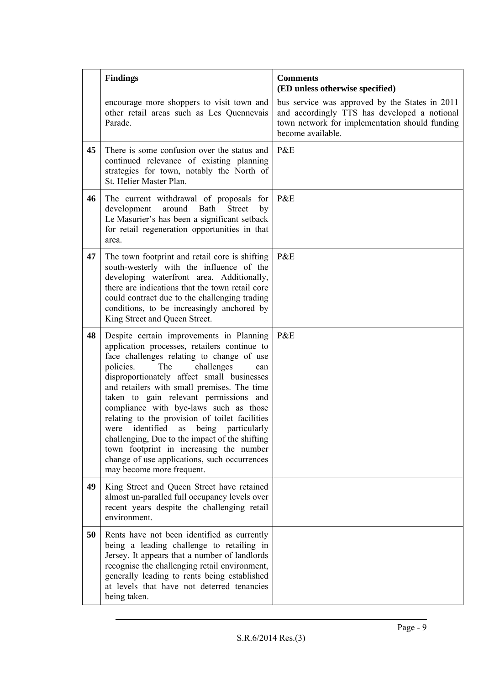|    | <b>Findings</b>                                                                                                                                                                                                                                                                                                                                                                                                                                                                                                                                                                                                                      | <b>Comments</b><br>(ED unless otherwise specified)                                                                                                                    |
|----|--------------------------------------------------------------------------------------------------------------------------------------------------------------------------------------------------------------------------------------------------------------------------------------------------------------------------------------------------------------------------------------------------------------------------------------------------------------------------------------------------------------------------------------------------------------------------------------------------------------------------------------|-----------------------------------------------------------------------------------------------------------------------------------------------------------------------|
|    | encourage more shoppers to visit town and<br>other retail areas such as Les Quennevais<br>Parade.                                                                                                                                                                                                                                                                                                                                                                                                                                                                                                                                    | bus service was approved by the States in 2011<br>and accordingly TTS has developed a notional<br>town network for implementation should funding<br>become available. |
| 45 | There is some confusion over the status and<br>continued relevance of existing planning<br>strategies for town, notably the North of<br>St. Helier Master Plan.                                                                                                                                                                                                                                                                                                                                                                                                                                                                      | P&E                                                                                                                                                                   |
| 46 | The current withdrawal of proposals for<br>development<br>around<br>Bath<br><b>Street</b><br>by<br>Le Masurier's has been a significant setback<br>for retail regeneration opportunities in that<br>area.                                                                                                                                                                                                                                                                                                                                                                                                                            | P&E                                                                                                                                                                   |
| 47 | The town footprint and retail core is shifting<br>south-westerly with the influence of the<br>developing waterfront area. Additionally,<br>there are indications that the town retail core<br>could contract due to the challenging trading<br>conditions, to be increasingly anchored by<br>King Street and Queen Street.                                                                                                                                                                                                                                                                                                           | P&E                                                                                                                                                                   |
| 48 | Despite certain improvements in Planning<br>application processes, retailers continue to<br>face challenges relating to change of use<br>policies.<br>The<br>challenges<br>can<br>disproportionately affect small businesses<br>and retailers with small premises. The time<br>taken to gain relevant permissions and<br>compliance with bye-laws such as those<br>relating to the provision of toilet facilities<br>were identified as being particularly<br>challenging, Due to the impact of the shifting<br>town footprint in increasing the number<br>change of use applications, such occurrences<br>may become more frequent. | P&E                                                                                                                                                                   |
| 49 | King Street and Queen Street have retained<br>almost un-paralled full occupancy levels over<br>recent years despite the challenging retail<br>environment.                                                                                                                                                                                                                                                                                                                                                                                                                                                                           |                                                                                                                                                                       |
| 50 | Rents have not been identified as currently<br>being a leading challenge to retailing in<br>Jersey. It appears that a number of landlords<br>recognise the challenging retail environment,<br>generally leading to rents being established<br>at levels that have not deterred tenancies<br>being taken.                                                                                                                                                                                                                                                                                                                             |                                                                                                                                                                       |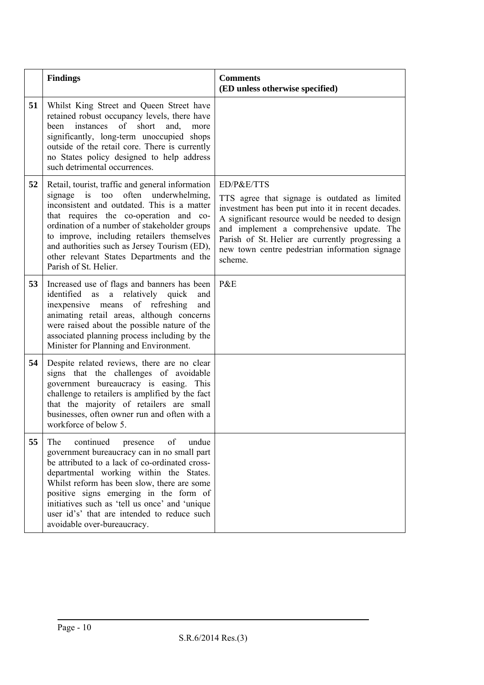|    | <b>Findings</b>                                                                                                                                                                                                                                                                                                                                                                                                  | <b>Comments</b><br>(ED unless otherwise specified)                                                                                                                                                                                                                                                                                  |
|----|------------------------------------------------------------------------------------------------------------------------------------------------------------------------------------------------------------------------------------------------------------------------------------------------------------------------------------------------------------------------------------------------------------------|-------------------------------------------------------------------------------------------------------------------------------------------------------------------------------------------------------------------------------------------------------------------------------------------------------------------------------------|
| 51 | Whilst King Street and Queen Street have<br>retained robust occupancy levels, there have<br>instances<br>of<br>short<br>been<br>and,<br>more<br>significantly, long-term unoccupied shops<br>outside of the retail core. There is currently<br>no States policy designed to help address<br>such detrimental occurrences.                                                                                        |                                                                                                                                                                                                                                                                                                                                     |
| 52 | Retail, tourist, traffic and general information<br>often<br>underwhelming,<br>signage is<br>too<br>inconsistent and outdated. This is a matter<br>that requires the co-operation and co-<br>ordination of a number of stakeholder groups<br>to improve, including retailers themselves<br>and authorities such as Jersey Tourism (ED),<br>other relevant States Departments and the<br>Parish of St. Helier.    | ED/P&E/TTS<br>TTS agree that signage is outdated as limited<br>investment has been put into it in recent decades.<br>A significant resource would be needed to design<br>and implement a comprehensive update. The<br>Parish of St. Helier are currently progressing a<br>new town centre pedestrian information signage<br>scheme. |
| 53 | Increased use of flags and banners has been<br>a relatively quick<br>identified as<br>and<br>inexpensive means of refreshing<br>and<br>animating retail areas, although concerns<br>were raised about the possible nature of the<br>associated planning process including by the<br>Minister for Planning and Environment.                                                                                       | P&E                                                                                                                                                                                                                                                                                                                                 |
| 54 | Despite related reviews, there are no clear<br>signs that the challenges of avoidable<br>government bureaucracy is easing. This<br>challenge to retailers is amplified by the fact<br>that the majority of retailers are small<br>businesses, often owner run and often with a<br>workforce of below 5.                                                                                                          |                                                                                                                                                                                                                                                                                                                                     |
| 55 | The<br>continued<br>of<br>undue<br>presence<br>government bureaucracy can in no small part<br>be attributed to a lack of co-ordinated cross-<br>departmental working within the States.<br>Whilst reform has been slow, there are some<br>positive signs emerging in the form of<br>initiatives such as 'tell us once' and 'unique<br>user id's' that are intended to reduce such<br>avoidable over-bureaucracy. |                                                                                                                                                                                                                                                                                                                                     |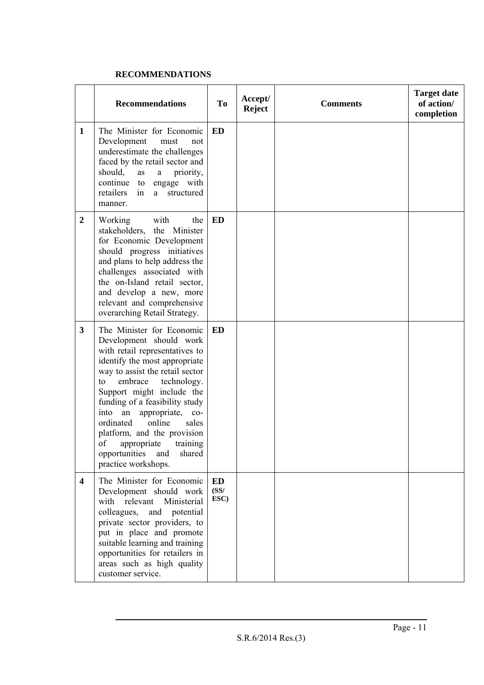#### **RECOMMENDATIONS**

|                         | <b>Recommendations</b>                                                                                                                                                                                                                                                                                                                                                                                                                                     | To                        | Accept/<br><b>Reject</b> | <b>Comments</b> | <b>Target date</b><br>of action/<br>completion |
|-------------------------|------------------------------------------------------------------------------------------------------------------------------------------------------------------------------------------------------------------------------------------------------------------------------------------------------------------------------------------------------------------------------------------------------------------------------------------------------------|---------------------------|--------------------------|-----------------|------------------------------------------------|
| $\mathbf{1}$            | The Minister for Economic<br>Development<br>must<br>not<br>underestimate the challenges<br>faced by the retail sector and<br>should,<br>priority,<br>as<br>$\mathbf{a}$<br>continue<br>to engage with<br>retailers<br>structured<br>a<br>1n<br>manner.                                                                                                                                                                                                     | ED                        |                          |                 |                                                |
| $\boldsymbol{2}$        | Working<br>with<br>the<br>stakeholders, the Minister<br>for Economic Development<br>should progress initiatives<br>and plans to help address the<br>challenges associated with<br>the on-Island retail sector,<br>and develop a new, more<br>relevant and comprehensive<br>overarching Retail Strategy.                                                                                                                                                    | <b>ED</b>                 |                          |                 |                                                |
| 3                       | The Minister for Economic<br>Development should work<br>with retail representatives to<br>identify the most appropriate<br>way to assist the retail sector<br>embrace<br>technology.<br>to<br>Support might include the<br>funding of a feasibility study<br>into an appropriate,<br>$_{\rm co-}$<br>online<br>ordinated<br>sales<br>platform, and the provision<br>of<br>training<br>appropriate<br>shared<br>opportunities<br>and<br>practice workshops. | <b>ED</b>                 |                          |                 |                                                |
| $\overline{\mathbf{4}}$ | The Minister for Economic<br>Development should work<br>with relevant Ministerial<br>colleagues,<br>and<br>potential<br>private sector providers, to<br>put in place and promote<br>suitable learning and training<br>opportunities for retailers in<br>areas such as high quality<br>customer service.                                                                                                                                                    | <b>ED</b><br>(SS/<br>ESC) |                          |                 |                                                |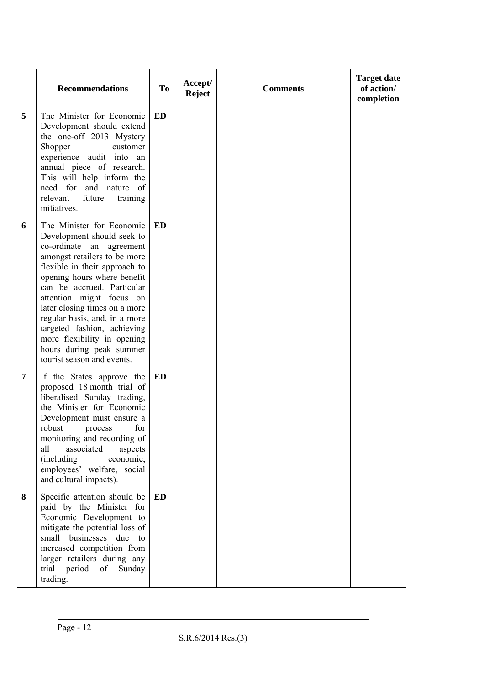|   | <b>Recommendations</b>                                                                                                                                                                                                                                                                                                                                                                                                                  | <b>To</b> | Accept/<br><b>Reject</b> | <b>Comments</b> | <b>Target date</b><br>of action/<br>completion |
|---|-----------------------------------------------------------------------------------------------------------------------------------------------------------------------------------------------------------------------------------------------------------------------------------------------------------------------------------------------------------------------------------------------------------------------------------------|-----------|--------------------------|-----------------|------------------------------------------------|
| 5 | The Minister for Economic<br>Development should extend<br>the one-off 2013 Mystery<br>Shopper<br>customer<br>experience audit into an<br>annual piece of research.<br>This will help inform the<br>need for and nature of<br>relevant<br>future<br>training<br>initiatives.                                                                                                                                                             | <b>ED</b> |                          |                 |                                                |
| 6 | The Minister for Economic<br>Development should seek to<br>co-ordinate an agreement<br>amongst retailers to be more<br>flexible in their approach to<br>opening hours where benefit<br>can be accrued. Particular<br>attention might focus on<br>later closing times on a more<br>regular basis, and, in a more<br>targeted fashion, achieving<br>more flexibility in opening<br>hours during peak summer<br>tourist season and events. | <b>ED</b> |                          |                 |                                                |
| 7 | If the States approve the<br>proposed 18 month trial of<br>liberalised Sunday trading,<br>the Minister for Economic<br>Development must ensure a<br>robust<br>for<br>process<br>monitoring and recording of<br>associated<br>aspects<br>all<br>economic,<br>(including)<br>employees' welfare, social<br>and cultural impacts).                                                                                                         | ED        |                          |                 |                                                |
| 8 | Specific attention should be<br>paid by the Minister for<br>Economic Development to<br>mitigate the potential loss of<br>small businesses due to<br>increased competition from<br>larger retailers during any<br>trial period of Sunday<br>trading.                                                                                                                                                                                     | <b>ED</b> |                          |                 |                                                |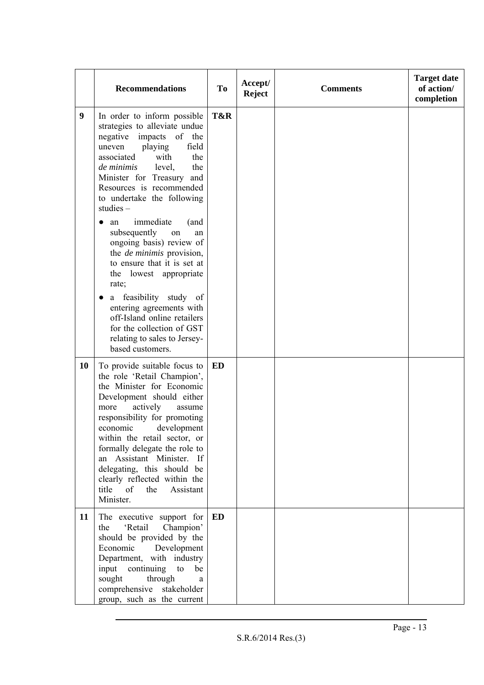|    | <b>Recommendations</b>                                                                                                                                                                                                                                                                                                                                                                                               | To  | Accept/<br><b>Reject</b> | <b>Comments</b> | <b>Target date</b><br>of action/<br>completion |
|----|----------------------------------------------------------------------------------------------------------------------------------------------------------------------------------------------------------------------------------------------------------------------------------------------------------------------------------------------------------------------------------------------------------------------|-----|--------------------------|-----------------|------------------------------------------------|
| 9  | In order to inform possible<br>strategies to alleviate undue<br>negative<br>impacts of the<br>playing<br>field<br>uneven<br>with<br>associated<br>the<br>de minimis<br>level,<br>the<br>Minister for Treasury and<br>Resources is recommended<br>to undertake the following<br>studies $-$                                                                                                                           | T&R |                          |                 |                                                |
|    | immediate<br>(and<br>an<br>subsequently<br>on<br>an<br>ongoing basis) review of<br>the <i>de minimis</i> provision,<br>to ensure that it is set at<br>the lowest appropriate<br>rate;<br>a feasibility study of                                                                                                                                                                                                      |     |                          |                 |                                                |
|    | entering agreements with<br>off-Island online retailers<br>for the collection of GST<br>relating to sales to Jersey-<br>based customers.                                                                                                                                                                                                                                                                             |     |                          |                 |                                                |
| 10 | To provide suitable focus to<br>the role 'Retail Champion',<br>the Minister for Economic<br>Development should either<br>actively<br>more<br>assume<br>responsibility for promoting<br>development<br>economic<br>within the retail sector, or<br>formally delegate the role to<br>an Assistant Minister. If<br>delegating, this should be<br>clearly reflected within the<br>title of<br>the Assistant<br>Minister. | ED  |                          |                 |                                                |
| 11 | The executive support for<br>'Retail<br>Champion'<br>the<br>should be provided by the<br>Economic<br>Development<br>Department, with industry<br>input continuing<br>to<br>be<br>sought<br>through<br>a<br>comprehensive<br>stakeholder<br>group, such as the current                                                                                                                                                | ED  |                          |                 |                                                |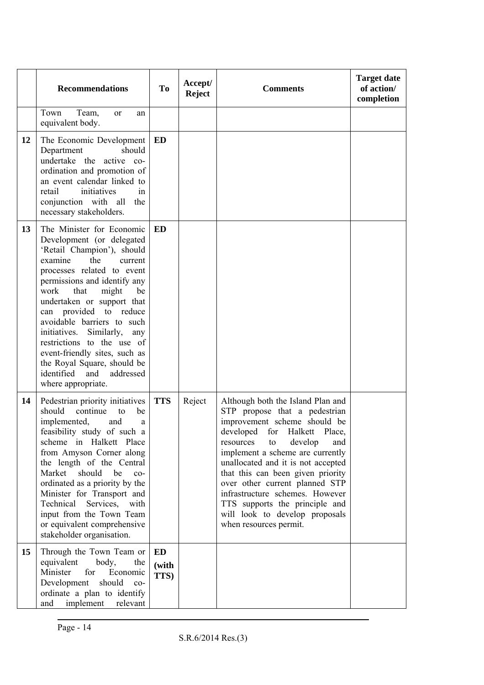|    | <b>Recommendations</b>                                                                                                                                                                                                                                                                                                                                                                                                                                                                    | <b>To</b>           | Accept/<br><b>Reject</b> | <b>Comments</b>                                                                                                                                                                                                                                                                                                                                                                                                                                           | <b>Target date</b><br>of action/<br>completion |
|----|-------------------------------------------------------------------------------------------------------------------------------------------------------------------------------------------------------------------------------------------------------------------------------------------------------------------------------------------------------------------------------------------------------------------------------------------------------------------------------------------|---------------------|--------------------------|-----------------------------------------------------------------------------------------------------------------------------------------------------------------------------------------------------------------------------------------------------------------------------------------------------------------------------------------------------------------------------------------------------------------------------------------------------------|------------------------------------------------|
|    | Town<br>Team,<br><sub>or</sub><br>an<br>equivalent body.                                                                                                                                                                                                                                                                                                                                                                                                                                  |                     |                          |                                                                                                                                                                                                                                                                                                                                                                                                                                                           |                                                |
| 12 | The Economic Development<br>Department<br>should<br>undertake the active co-<br>ordination and promotion of<br>an event calendar linked to<br>initiatives<br>retail<br>in<br>conjunction with all<br>the<br>necessary stakeholders.                                                                                                                                                                                                                                                       | <b>ED</b>           |                          |                                                                                                                                                                                                                                                                                                                                                                                                                                                           |                                                |
| 13 | The Minister for Economic<br>Development (or delegated<br>'Retail Champion'), should<br>examine<br>the<br>current<br>processes related to event<br>permissions and identify any<br>that<br>might<br>work<br>be<br>undertaken or support that<br>can provided to reduce<br>avoidable barriers to such<br>Similarly,<br>initiatives.<br>any<br>restrictions to the use of<br>event-friendly sites, such as<br>the Royal Square, should be<br>identified and addressed<br>where appropriate. | <b>ED</b>           |                          |                                                                                                                                                                                                                                                                                                                                                                                                                                                           |                                                |
| 14 | Pedestrian priority initiatives<br>should<br>continue<br>to<br>be<br>implemented,<br>and<br>a<br>feasibility study of such a<br>scheme in Halkett Place<br>from Amyson Corner along<br>the length of the Central<br>Market<br>should<br>be<br>$co-$<br>ordinated as a priority by the<br>Minister for Transport and<br>Technical<br>Services,<br>with<br>input from the Town Team<br>or equivalent comprehensive<br>stakeholder organisation.                                             | <b>TTS</b>          | Reject                   | Although both the Island Plan and<br>STP propose that a pedestrian<br>improvement scheme should be<br>developed for Halkett Place,<br>develop<br>resources<br>and<br>to<br>implement a scheme are currently<br>unallocated and it is not accepted<br>that this can been given priority<br>over other current planned STP<br>infrastructure schemes. However<br>TTS supports the principle and<br>will look to develop proposals<br>when resources permit. |                                                |
| 15 | Through the Town Team or<br>equivalent<br>body,<br>the<br>Minister<br>for<br>Economic<br>Development<br>should co-<br>ordinate a plan to identify<br>implement<br>and<br>relevant                                                                                                                                                                                                                                                                                                         | ED<br>(with<br>TTS) |                          |                                                                                                                                                                                                                                                                                                                                                                                                                                                           |                                                |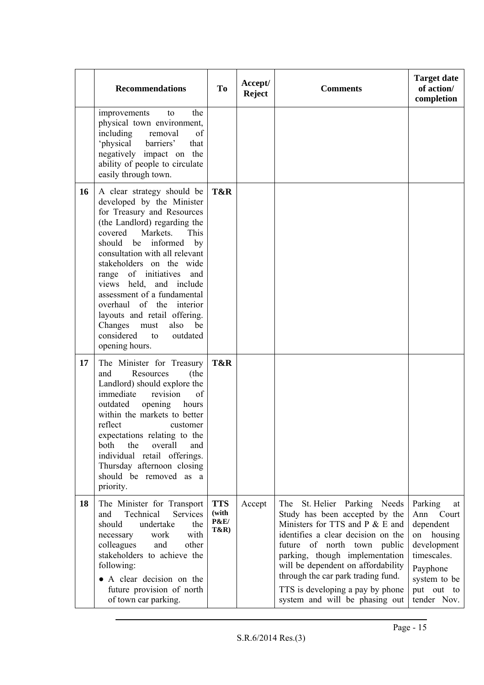|    | <b>Recommendations</b>                                                                                                                                                                                                                                                                                                                                                                                                                                                                       | To                                                        | Accept/<br><b>Reject</b> | <b>Comments</b>                                                                                                                                                                                                                                                                                                                                                  | <b>Target date</b><br>of action/<br>completion                                                                                                  |
|----|----------------------------------------------------------------------------------------------------------------------------------------------------------------------------------------------------------------------------------------------------------------------------------------------------------------------------------------------------------------------------------------------------------------------------------------------------------------------------------------------|-----------------------------------------------------------|--------------------------|------------------------------------------------------------------------------------------------------------------------------------------------------------------------------------------------------------------------------------------------------------------------------------------------------------------------------------------------------------------|-------------------------------------------------------------------------------------------------------------------------------------------------|
|    | improvements<br>the<br>to<br>physical town environment,<br>including<br>removal<br>of<br>'physical<br>barriers'<br>that<br>negatively impact on the<br>ability of people to circulate<br>easily through town.                                                                                                                                                                                                                                                                                |                                                           |                          |                                                                                                                                                                                                                                                                                                                                                                  |                                                                                                                                                 |
| 16 | A clear strategy should be<br>developed by the Minister<br>for Treasury and Resources<br>(the Landlord) regarding the<br>Markets.<br>This<br>covered<br>informed<br>should be<br>by<br>consultation with all relevant<br>stakeholders on the wide<br>of initiatives<br>and<br>range<br>views held, and include<br>assessment of a fundamental<br>overhaul of the interior<br>layouts and retail offering.<br>Changes<br>also<br>be<br>must<br>considered<br>to<br>outdated<br>opening hours. | T&R                                                       |                          |                                                                                                                                                                                                                                                                                                                                                                  |                                                                                                                                                 |
| 17 | The Minister for Treasury<br>and<br>Resources<br>(the<br>Landlord) should explore the<br>immediate<br>revision<br>of<br>outdated<br>opening<br>hours<br>within the markets to better<br>reflect<br>customer<br>expectations relating to the<br>the<br>overall<br>both<br>and<br>individual retail offerings.<br>Thursday afternoon closing<br>should be removed as a<br>priority.                                                                                                            | T&R                                                       |                          |                                                                                                                                                                                                                                                                                                                                                                  |                                                                                                                                                 |
| 18 | The Minister for Transport<br>Technical<br>Services<br>and<br>undertake<br>should<br>the<br>with<br>work<br>necessary<br>other<br>and<br>colleagues<br>stakeholders to achieve the<br>following:<br>• A clear decision on the<br>future provision of north<br>of town car parking.                                                                                                                                                                                                           | <b>TTS</b><br>(with<br><b>P&amp;E/</b><br><b>T&amp;R)</b> | Accept                   | St. Helier Parking Needs<br>The<br>Study has been accepted by the<br>Ministers for TTS and P & E and<br>identifies a clear decision on the<br>future of north town<br>public<br>parking, though implementation<br>will be dependent on affordability<br>through the car park trading fund.<br>TTS is developing a pay by phone<br>system and will be phasing out | Parking<br>at<br>Ann<br>Court<br>dependent<br>on housing<br>development<br>timescales.<br>Payphone<br>system to be<br>put out to<br>tender Nov. |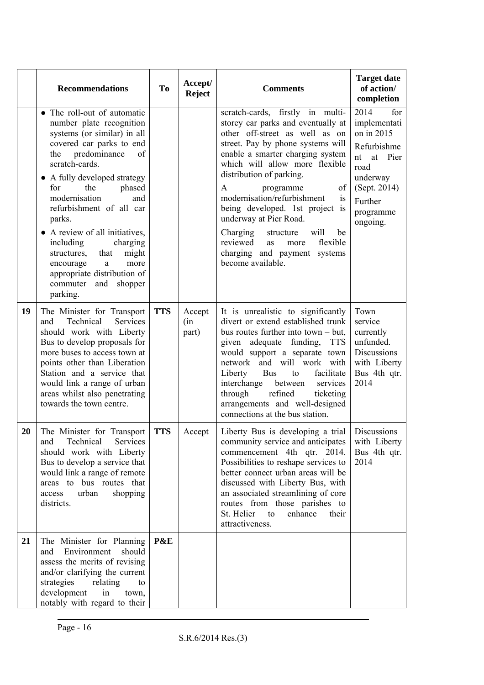|    | <b>Recommendations</b>                                                                                                                                                                                                                                                                                                                                                                                                                                                                | <b>To</b>  | Accept/<br><b>Reject</b> | <b>Comments</b>                                                                                                                                                                                                                                                                                                                                                                                                                                                                                             | <b>Target date</b><br>of action/<br>completion                                                                                                    |
|----|---------------------------------------------------------------------------------------------------------------------------------------------------------------------------------------------------------------------------------------------------------------------------------------------------------------------------------------------------------------------------------------------------------------------------------------------------------------------------------------|------------|--------------------------|-------------------------------------------------------------------------------------------------------------------------------------------------------------------------------------------------------------------------------------------------------------------------------------------------------------------------------------------------------------------------------------------------------------------------------------------------------------------------------------------------------------|---------------------------------------------------------------------------------------------------------------------------------------------------|
|    | • The roll-out of automatic<br>number plate recognition<br>systems (or similar) in all<br>covered car parks to end<br>predominance<br>of<br>the<br>scratch-cards.<br>• A fully developed strategy<br>for<br>the<br>phased<br>modernisation<br>and<br>refurbishment of all car<br>parks.<br>• A review of all initiatives,<br>including<br>charging<br>might<br>structures,<br>that<br>encourage<br>more<br>a<br>appropriate distribution of<br>commuter<br>and<br>shopper<br>parking. |            |                          | scratch-cards, firstly in multi-<br>storey car parks and eventually at<br>other off-street as well as on<br>street. Pay by phone systems will<br>enable a smarter charging system<br>which will allow more flexible<br>distribution of parking.<br>of<br>A<br>programme<br>modernisation/refurbishment<br>is<br>being developed. 1st project is<br>underway at Pier Road.<br>Charging<br>will<br>structure<br>be<br>reviewed<br>flexible<br>more<br>as<br>charging and payment systems<br>become available. | 2014<br>for<br>implementati<br>on in 2015<br>Refurbishme<br>nt<br>at Pier<br>road<br>underway<br>(Sept. 2014)<br>Further<br>programme<br>ongoing. |
| 19 | The Minister for Transport<br>Technical<br>Services<br>and<br>should work with Liberty<br>Bus to develop proposals for<br>more buses to access town at<br>points other than Liberation<br>Station and a service that<br>would link a range of urban<br>areas whilst also penetrating<br>towards the town centre.                                                                                                                                                                      | <b>TTS</b> | Accept<br>(in<br>part)   | It is unrealistic to significantly<br>divert or extend established trunk<br>bus routes further into town $-$ but,<br>given adequate funding,<br><b>TTS</b><br>would support a separate town<br>network and will work with<br>facilitate<br>Liberty<br><b>Bus</b><br>to<br>interchange<br>between<br>services<br>through<br>refined<br>ticketing<br>arrangements and well-designed<br>connections at the bus station.                                                                                        | Town<br>service<br>currently<br>unfunded.<br>Discussions<br>with Liberty<br>Bus 4th qtr.<br>2014                                                  |
| 20 | The Minister for Transport<br>Technical<br>Services<br>and<br>should work with Liberty<br>Bus to develop a service that<br>would link a range of remote<br>areas to bus routes that<br>urban<br>shopping<br>access<br>districts.                                                                                                                                                                                                                                                      | <b>TTS</b> | Accept                   | Liberty Bus is developing a trial   Discussions<br>community service and anticipates<br>commencement 4th qtr. 2014.<br>Possibilities to reshape services to<br>better connect urban areas will be<br>discussed with Liberty Bus, with<br>an associated streamlining of core<br>routes from those parishes to<br>St. Helier<br>enhance<br>to<br>their<br>attractiveness.                                                                                                                                     | with Liberty<br>Bus 4th qtr.<br>2014                                                                                                              |
| 21 | The Minister for Planning<br>Environment<br>should<br>and<br>assess the merits of revising<br>and/or clarifying the current<br>strategies<br>relating<br>to<br>development<br>in<br>town,<br>notably with regard to their                                                                                                                                                                                                                                                             | P&E        |                          |                                                                                                                                                                                                                                                                                                                                                                                                                                                                                                             |                                                                                                                                                   |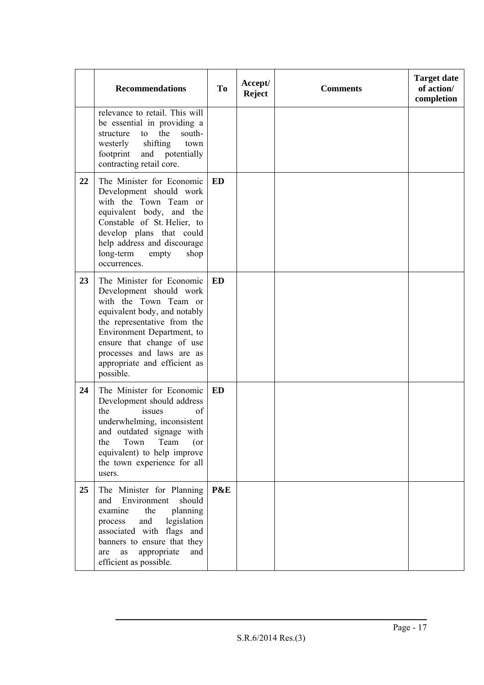|    | <b>Recommendations</b>                                                                                                                                                                                                                                                            | <b>To</b> | Accept/<br><b>Reject</b> | <b>Comments</b> | <b>Target date</b><br>of action/<br>completion |
|----|-----------------------------------------------------------------------------------------------------------------------------------------------------------------------------------------------------------------------------------------------------------------------------------|-----------|--------------------------|-----------------|------------------------------------------------|
|    | relevance to retail. This will<br>be essential in providing a<br>to the<br>south-<br>structure<br>shifting<br>westerly<br>town<br>footprint and potentially<br>contracting retail core.                                                                                           |           |                          |                 |                                                |
| 22 | The Minister for Economic<br>Development should work<br>with the Town Team or<br>equivalent body, and the<br>Constable of St. Helier, to<br>develop plans that could<br>help address and discourage<br>long-term<br>empty<br>shop<br>occurrences.                                 | ED        |                          |                 |                                                |
| 23 | The Minister for Economic<br>Development should work<br>with the Town Team or<br>equivalent body, and notably<br>the representative from the<br>Environment Department, to<br>ensure that change of use<br>processes and laws are as<br>appropriate and efficient as<br>possible. | <b>ED</b> |                          |                 |                                                |
| 24 | The Minister for Economic<br>Development should address<br>issues<br>the<br>of<br>underwhelming, inconsistent<br>and outdated signage with<br>Town<br>Team<br>the<br>$($ or<br>equivalent) to help improve<br>the town experience for all<br>users.                               | ED        |                          |                 |                                                |
| 25 | The Minister for Planning<br>Environment<br>should<br>and<br>planning<br>examine<br>the<br>and<br>legislation<br>process<br>associated with flags and<br>banners to ensure that they<br>appropriate<br>and<br>as<br>are<br>efficient as possible.                                 | P&E       |                          |                 |                                                |